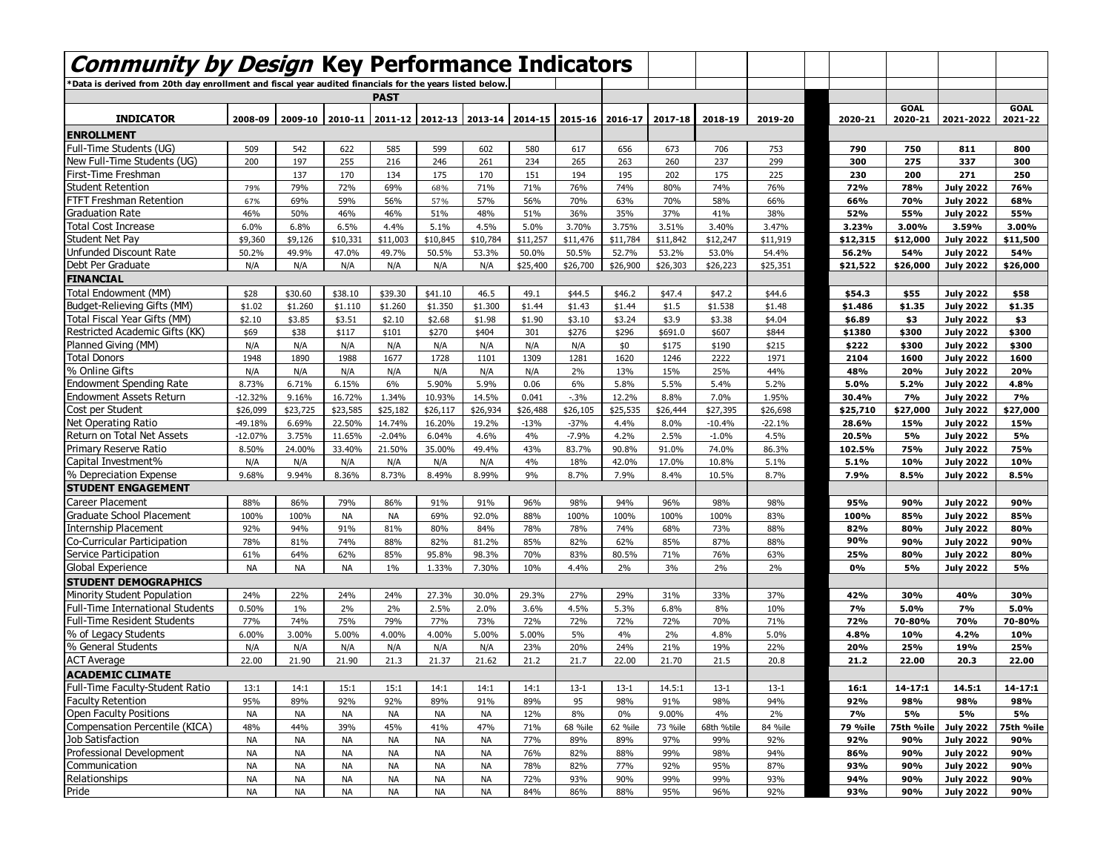| <b>Community by Design Key Performance Indicators</b>                                                     |           |           |           |             |           |                                 |          |                 |          |          |            |          |          |             |                  |             |
|-----------------------------------------------------------------------------------------------------------|-----------|-----------|-----------|-------------|-----------|---------------------------------|----------|-----------------|----------|----------|------------|----------|----------|-------------|------------------|-------------|
|                                                                                                           |           |           |           |             |           |                                 |          |                 |          |          |            |          |          |             |                  |             |
| Data is derived from 20th day enrollment and fiscal year audited financials for the years listed below. * |           |           |           |             |           |                                 |          |                 |          |          |            |          |          |             |                  |             |
|                                                                                                           |           |           |           | <b>PAST</b> |           |                                 |          |                 |          |          |            |          |          | <b>GOAL</b> |                  | <b>GOAL</b> |
| <b>INDICATOR</b>                                                                                          | 2008-09   | 2009-10   | 2010-11   |             |           | 2011-12 2012-13 2013-14 2014-15 |          | 2015-16 2016-17 |          | 2017-18  | 2018-19    | 2019-20  | 2020-21  | 2020-21     | 2021-2022        | 2021-22     |
| <b>ENROLLMENT</b>                                                                                         |           |           |           |             |           |                                 |          |                 |          |          |            |          |          |             |                  |             |
| Full-Time Students (UG)                                                                                   | 509       | 542       | 622       | 585         | 599       | 602                             | 580      | 617             | 656      | 673      | 706        | 753      | 790      | 750         | 811              | 800         |
| New Full-Time Students (UG)                                                                               | 200       | 197       | 255       | 216         | 246       | 261                             | 234      | 265             | 263      | 260      | 237        | 299      | 300      | 275         | 337              | 300         |
| First-Time Freshman                                                                                       |           | 137       | 170       | 134         | 175       | 170                             | 151      | 194             | 195      | 202      | 175        | 225      | 230      | 200         | 271              | 250         |
| <b>Student Retention</b>                                                                                  | 79%       | 79%       | 72%       | 69%         | 68%       | 71%                             | 71%      | 76%             | 74%      | 80%      | 74%        | 76%      | 72%      | 78%         | <b>July 2022</b> | 76%         |
| <b>FTFT Freshman Retention</b>                                                                            | 67%       | 69%       | 59%       | 56%         | 57%       | 57%                             | 56%      | 70%             | 63%      | 70%      | 58%        | 66%      | 66%      | 70%         | <b>July 2022</b> | 68%         |
| <b>Graduation Rate</b>                                                                                    | 46%       | 50%       | 46%       | 46%         | 51%       | 48%                             | 51%      | 36%             | 35%      | 37%      | 41%        | 38%      | 52%      | 55%         | <b>July 2022</b> | 55%         |
| Total Cost Increase                                                                                       | 6.0%      | 6.8%      | 6.5%      | 4.4%        | 5.1%      | 4.5%                            | 5.0%     | 3.70%           | 3.75%    | 3.51%    | 3.40%      | 3.47%    | 3.23%    | 3.00%       | 3.59%            | 3.00%       |
| <b>Student Net Pay</b>                                                                                    | \$9,360   | \$9,126   | \$10,331  | \$11,003    | \$10,845  | \$10,784                        | \$11,257 | \$11,476        | \$11,784 | \$11,842 | \$12,247   | \$11,919 | \$12,315 | \$12,000    | <b>July 2022</b> | \$11,500    |
| Unfunded Discount Rate                                                                                    | 50.2%     | 49.9%     | 47.0%     | 49.7%       | 50.5%     | 53.3%                           | 50.0%    | 50.5%           | 52.7%    | 53.2%    | 53.0%      | 54.4%    | 56.2%    | 54%         | <b>July 2022</b> | 54%         |
| Debt Per Graduate                                                                                         | N/A       | N/A       | N/A       | N/A         | N/A       | N/A                             | \$25,400 | \$26,700        | \$26,900 | \$26,303 | \$26,223   | \$25,351 | \$21,522 | \$26,000    | <b>July 2022</b> | \$26,000    |
| <b>FINANCIAL</b>                                                                                          |           |           |           |             |           |                                 |          |                 |          |          |            |          |          |             |                  |             |
| Total Endowment (MM)                                                                                      | \$28      | \$30.60   | \$38.10   | \$39.30     | \$41.10   | 46.5                            | 49.1     | \$44.5          | \$46.2   | \$47.4   | \$47.2     | \$44.6   | \$54.3   | \$55        | <b>July 2022</b> | \$58        |
| Budget-Relieving Gifts (MM)                                                                               | \$1.02    | \$1.260   | \$1.110   | \$1.260     | \$1.350   | \$1.300                         | \$1.44   | \$1.43          | \$1.44   | \$1.5    | \$1.538    | \$1.48   | \$1.486  | \$1.35      | <b>July 2022</b> | \$1.35      |
| Total Fiscal Year Gifts (MM)                                                                              | \$2.10    | \$3.85    | \$3.51    | \$2.10      | \$2.68    | \$1.98                          | \$1.90   | \$3.10          | \$3.24   | \$3.9    | \$3.38     | \$4.04   | \$6.89   | \$3         | <b>July 2022</b> | \$3         |
| Restricted Academic Gifts (KK)                                                                            | \$69      | \$38      | \$117     | \$101       | \$270     | \$404                           | 301      | \$276           | \$296    | \$691.0  | \$607      | \$844    | \$1380   | \$300       | <b>July 2022</b> | \$300       |
| Planned Giving (MM)                                                                                       | N/A       | N/A       | N/A       | N/A         | N/A       | N/A                             | N/A      | N/A             | \$0      | \$175    | \$190      | \$215    | \$222    | \$300       | <b>July 2022</b> | \$300       |
| <b>Total Donors</b>                                                                                       | 1948      | 1890      | 1988      | 1677        | 1728      | 1101                            | 1309     | 1281            | 1620     | 1246     | 2222       | 1971     | 2104     | 1600        | <b>July 2022</b> | 1600        |
| % Online Gifts                                                                                            | N/A       | N/A       | N/A       | N/A         | N/A       | N/A                             | N/A      | 2%              | 13%      | 15%      | 25%        | 44%      | 48%      | 20%         | <b>July 2022</b> | 20%         |
| <b>Endowment Spending Rate</b>                                                                            | 8.73%     | 6.71%     | 6.15%     | 6%          | 5.90%     | 5.9%                            | 0.06     | 6%              | 5.8%     | 5.5%     | 5.4%       | 5.2%     | 5.0%     | 5.2%        | <b>July 2022</b> | 4.8%        |
| <b>Endowment Assets Return</b>                                                                            | $-12.32%$ | 9.16%     | 16.72%    | 1.34%       | 10.93%    | 14.5%                           | 0.041    | $-3%$           | 12.2%    | 8.8%     | 7.0%       | 1.95%    | 30.4%    | 7%          | <b>July 2022</b> | 7%          |
| Cost per Student                                                                                          | \$26,099  | \$23,725  | \$23,585  | \$25,182    | \$26,117  | \$26,934                        | \$26,488 | \$26,105        | \$25,535 | \$26,444 | \$27,395   | \$26,698 | \$25,710 | \$27,000    | <b>July 2022</b> | \$27,000    |
| Net Operating Ratio                                                                                       | -49.18%   | 6.69%     | 22.50%    | 14.74%      | 16.20%    | 19.2%                           | $-13%$   | $-37%$          | 4.4%     | 8.0%     | $-10.4%$   | $-22.1%$ | 28.6%    | 15%         | <b>July 2022</b> | 15%         |
| Return on Total Net Assets                                                                                | $-12.07%$ | 3.75%     | 11.65%    | $-2.04%$    | 6.04%     | 4.6%                            | 4%       | $-7.9%$         | 4.2%     | 2.5%     | $-1.0%$    | 4.5%     | 20.5%    | 5%          | <b>July 2022</b> | 5%          |
| Primary Reserve Ratio                                                                                     | 8.50%     | 24.00%    | 33.40%    | 21.50%      | 35.00%    | 49.4%                           | 43%      | 83.7%           | 90.8%    | 91.0%    | 74.0%      | 86.3%    | 102.5%   | 75%         | <b>July 2022</b> | 75%         |
| Capital Investment%                                                                                       | N/A       | N/A       | N/A       | N/A         | N/A       | N/A                             | 4%       | 18%             | 42.0%    | 17.0%    | 10.8%      | 5.1%     | 5.1%     | 10%         | <b>July 2022</b> | 10%         |
| % Depreciation Expense                                                                                    | 9.68%     | 9.94%     | 8.36%     | 8.73%       | 8.49%     | 8.99%                           | 9%       | 8.7%            | 7.9%     | 8.4%     | 10.5%      | 8.7%     | 7.9%     | 8.5%        | <b>July 2022</b> | 8.5%        |
| <b>STUDENT ENGAGEMENT</b>                                                                                 |           |           |           |             |           |                                 |          |                 |          |          |            |          |          |             |                  |             |
| Career Placement                                                                                          | 88%       | 86%       | 79%       | 86%         | 91%       | 91%                             | 96%      | 98%             | 94%      | 96%      | 98%        | 98%      | 95%      | 90%         | <b>July 2022</b> | 90%         |
| Graduate School Placement                                                                                 | 100%      | 100%      | <b>NA</b> | <b>NA</b>   | 69%       | 92.0%                           | 88%      | 100%            | 100%     | 100%     | 100%       | 83%      | 100%     | 85%         | <b>July 2022</b> | 85%         |
| <b>Internship Placement</b>                                                                               | 92%       | 94%       | 91%       | 81%         | 80%       | 84%                             | 78%      | 78%             | 74%      | 68%      | 73%        | 88%      | 82%      | 80%         | <b>July 2022</b> | 80%         |
| Co-Curricular Participation                                                                               | 78%       | 81%       | 74%       | 88%         | 82%       | 81.2%                           | 85%      | 82%             | 62%      | 85%      | 87%        | 88%      | 90%      | 90%         | <b>July 2022</b> | 90%         |
| Service Participation                                                                                     | 61%       | 64%       | 62%       | 85%         | 95.8%     | 98.3%                           | 70%      | 83%             | 80.5%    | 71%      | 76%        | 63%      | 25%      | 80%         | <b>July 2022</b> | 80%         |
| Global Experience                                                                                         | <b>NA</b> | NA        | NA        | 1%          | 1.33%     | 7.30%                           | 10%      | 4.4%            | 2%       | 3%       | 2%         | 2%       | 0%       | 5%          | <b>July 2022</b> | 5%          |
| <b>STUDENT DEMOGRAPHICS</b>                                                                               |           |           |           |             |           |                                 |          |                 |          |          |            |          |          |             |                  |             |
| <b>Minority Student Population</b>                                                                        | 24%       | 22%       | 24%       | 24%         | 27.3%     | 30.0%                           | 29.3%    | 27%             | 29%      | 31%      | 33%        | 37%      | 42%      | 30%         | 40%              | 30%         |
| <b>Full-Time International Students</b>                                                                   | 0.50%     | $1\%$     | 2%        | 2%          | 2.5%      | 2.0%                            | 3.6%     | 4.5%            | 5.3%     | 6.8%     | 8%         | 10%      | 7%       | 5.0%        | 7%               | 5.0%        |
| <b>Full-Time Resident Students</b>                                                                        | 77%       | 74%       | 75%       | 79%         | 77%       | 73%                             | 72%      | 72%             | 72%      | 72%      | 70%        | 71%      | 72%      | 70-80%      | 70%              | 70-80%      |
| % of Legacy Students                                                                                      | 6.00%     | 3.00%     | 5.00%     | 4.00%       | 4.00%     | 5.00%                           | 5.00%    | 5%              | 4%       | 2%       | 4.8%       | 5.0%     | 4.8%     | 10%         | 4.2%             | 10%         |
| % General Students                                                                                        | N/A       | N/A       | N/A       | N/A         | N/A       | N/A                             | 23%      | 20%             | 24%      | 21%      | 19%        | 22%      | 20%      | 25%         | 19%              | 25%         |
| <b>ACT Average</b>                                                                                        | 22.00     | 21.90     | 21.90     | 21.3        | 21.37     | 21.62                           | 21.2     | 21.7            | 22.00    | 21.70    | 21.5       | 20.8     | 21.2     | 22.00       | 20.3             | 22.00       |
| <b>ACADEMIC CLIMATE</b>                                                                                   |           |           |           |             |           |                                 |          |                 |          |          |            |          |          |             |                  |             |
| Full-Time Faculty-Student Ratio                                                                           | 13:1      | 14:1      | 15:1      | 15:1        | 14:1      | 14:1                            | 14:1     | $13-1$          | $13-1$   | 14.5:1   | $13-1$     | $13-1$   | 16:1     | $14 - 17:1$ | 14.5:1           | $14 - 17:1$ |
| <b>Faculty Retention</b>                                                                                  | 95%       | 89%       | 92%       | 92%         | 89%       | 91%                             | 89%      | 95              | 98%      | 91%      | 98%        | 94%      | 92%      | 98%         | 98%              | 98%         |
| Open Faculty Positions                                                                                    | <b>NA</b> | <b>NA</b> | <b>NA</b> | <b>NA</b>   | <b>NA</b> | <b>NA</b>                       | 12%      | 8%              | 0%       | 9.00%    | 4%         | 2%       | 7%       | 5%          | 5%               | 5%          |
| Compensation Percentile (KICA)                                                                            | 48%       | 44%       | 39%       | 45%         | 41%       | 47%                             | 71%      | 68 %ile         | 62 %ile  | 73 %ile  | 68th %tile | 84 %ile  | 79 %ile  | 75th %ile   | <b>July 2022</b> | 75th %ile   |
| Job Satisfaction                                                                                          | <b>NA</b> | <b>NA</b> | <b>NA</b> | NA          | <b>NA</b> | <b>NA</b>                       | 77%      | 89%             | 89%      | 97%      | 99%        | 92%      | 92%      | 90%         | <b>July 2022</b> | 90%         |
| Professional Development                                                                                  | <b>NA</b> | <b>NA</b> | <b>NA</b> | <b>NA</b>   | <b>NA</b> | <b>NA</b>                       | 76%      | 82%             | 88%      | 99%      | 98%        | 94%      | 86%      | 90%         | <b>July 2022</b> | 90%         |
| Communication                                                                                             | <b>NA</b> | <b>NA</b> | <b>NA</b> | <b>NA</b>   | <b>NA</b> | <b>NA</b>                       | 78%      | 82%             | 77%      | 92%      | 95%        | 87%      | 93%      | 90%         | <b>July 2022</b> | 90%         |
| Relationships                                                                                             | <b>NA</b> | <b>NA</b> | <b>NA</b> | NA          | <b>NA</b> | <b>NA</b>                       | 72%      | 93%             | 90%      | 99%      | 99%        | 93%      | 94%      | 90%         | <b>July 2022</b> | 90%         |
| Pride                                                                                                     | <b>NA</b> | <b>NA</b> | <b>NA</b> | <b>NA</b>   | <b>NA</b> | <b>NA</b>                       | 84%      | 86%             | 88%      | 95%      | 96%        | 92%      | 93%      | 90%         | <b>July 2022</b> | 90%         |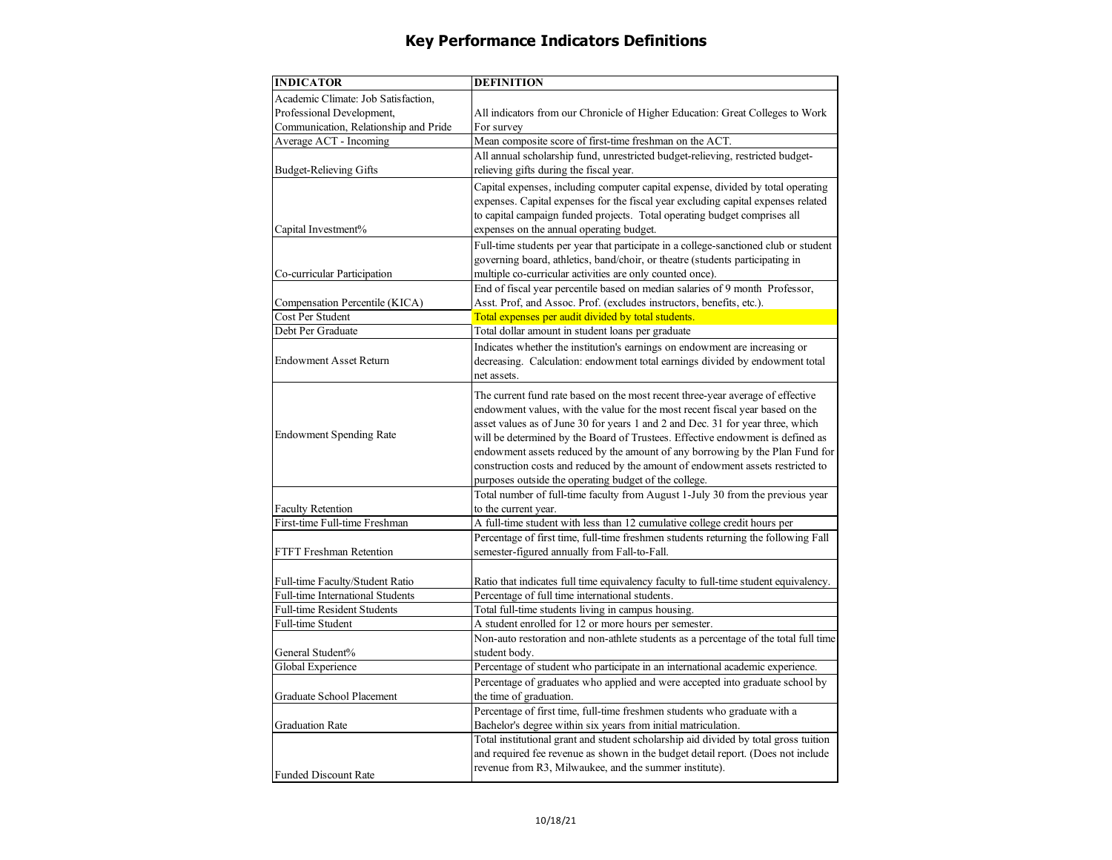## **Key Performance Indicators Definitions**

| Academic Climate: Job Satisfaction,<br>All indicators from our Chronicle of Higher Education: Great Colleges to Work                                                                                                                                                                                                                                                                                                                                                                                                                                                                                                                                                                                                                                                                                                                                                                                                                                                                                                                                                                                                                                                                                                                                                                                                                                                                                                                                                                                                                                                                                                                                                                                                                                                                                                                                                                                                                                                                                                                                                                                                                                                                                                                                                                        |  |
|---------------------------------------------------------------------------------------------------------------------------------------------------------------------------------------------------------------------------------------------------------------------------------------------------------------------------------------------------------------------------------------------------------------------------------------------------------------------------------------------------------------------------------------------------------------------------------------------------------------------------------------------------------------------------------------------------------------------------------------------------------------------------------------------------------------------------------------------------------------------------------------------------------------------------------------------------------------------------------------------------------------------------------------------------------------------------------------------------------------------------------------------------------------------------------------------------------------------------------------------------------------------------------------------------------------------------------------------------------------------------------------------------------------------------------------------------------------------------------------------------------------------------------------------------------------------------------------------------------------------------------------------------------------------------------------------------------------------------------------------------------------------------------------------------------------------------------------------------------------------------------------------------------------------------------------------------------------------------------------------------------------------------------------------------------------------------------------------------------------------------------------------------------------------------------------------------------------------------------------------------------------------------------------------|--|
|                                                                                                                                                                                                                                                                                                                                                                                                                                                                                                                                                                                                                                                                                                                                                                                                                                                                                                                                                                                                                                                                                                                                                                                                                                                                                                                                                                                                                                                                                                                                                                                                                                                                                                                                                                                                                                                                                                                                                                                                                                                                                                                                                                                                                                                                                             |  |
|                                                                                                                                                                                                                                                                                                                                                                                                                                                                                                                                                                                                                                                                                                                                                                                                                                                                                                                                                                                                                                                                                                                                                                                                                                                                                                                                                                                                                                                                                                                                                                                                                                                                                                                                                                                                                                                                                                                                                                                                                                                                                                                                                                                                                                                                                             |  |
| Communication, Relationship and Pride<br>For survey                                                                                                                                                                                                                                                                                                                                                                                                                                                                                                                                                                                                                                                                                                                                                                                                                                                                                                                                                                                                                                                                                                                                                                                                                                                                                                                                                                                                                                                                                                                                                                                                                                                                                                                                                                                                                                                                                                                                                                                                                                                                                                                                                                                                                                         |  |
| Mean composite score of first-time freshman on the ACT.                                                                                                                                                                                                                                                                                                                                                                                                                                                                                                                                                                                                                                                                                                                                                                                                                                                                                                                                                                                                                                                                                                                                                                                                                                                                                                                                                                                                                                                                                                                                                                                                                                                                                                                                                                                                                                                                                                                                                                                                                                                                                                                                                                                                                                     |  |
| All annual scholarship fund, unrestricted budget-relieving, restricted budget-                                                                                                                                                                                                                                                                                                                                                                                                                                                                                                                                                                                                                                                                                                                                                                                                                                                                                                                                                                                                                                                                                                                                                                                                                                                                                                                                                                                                                                                                                                                                                                                                                                                                                                                                                                                                                                                                                                                                                                                                                                                                                                                                                                                                              |  |
| relieving gifts during the fiscal year.                                                                                                                                                                                                                                                                                                                                                                                                                                                                                                                                                                                                                                                                                                                                                                                                                                                                                                                                                                                                                                                                                                                                                                                                                                                                                                                                                                                                                                                                                                                                                                                                                                                                                                                                                                                                                                                                                                                                                                                                                                                                                                                                                                                                                                                     |  |
|                                                                                                                                                                                                                                                                                                                                                                                                                                                                                                                                                                                                                                                                                                                                                                                                                                                                                                                                                                                                                                                                                                                                                                                                                                                                                                                                                                                                                                                                                                                                                                                                                                                                                                                                                                                                                                                                                                                                                                                                                                                                                                                                                                                                                                                                                             |  |
|                                                                                                                                                                                                                                                                                                                                                                                                                                                                                                                                                                                                                                                                                                                                                                                                                                                                                                                                                                                                                                                                                                                                                                                                                                                                                                                                                                                                                                                                                                                                                                                                                                                                                                                                                                                                                                                                                                                                                                                                                                                                                                                                                                                                                                                                                             |  |
|                                                                                                                                                                                                                                                                                                                                                                                                                                                                                                                                                                                                                                                                                                                                                                                                                                                                                                                                                                                                                                                                                                                                                                                                                                                                                                                                                                                                                                                                                                                                                                                                                                                                                                                                                                                                                                                                                                                                                                                                                                                                                                                                                                                                                                                                                             |  |
|                                                                                                                                                                                                                                                                                                                                                                                                                                                                                                                                                                                                                                                                                                                                                                                                                                                                                                                                                                                                                                                                                                                                                                                                                                                                                                                                                                                                                                                                                                                                                                                                                                                                                                                                                                                                                                                                                                                                                                                                                                                                                                                                                                                                                                                                                             |  |
|                                                                                                                                                                                                                                                                                                                                                                                                                                                                                                                                                                                                                                                                                                                                                                                                                                                                                                                                                                                                                                                                                                                                                                                                                                                                                                                                                                                                                                                                                                                                                                                                                                                                                                                                                                                                                                                                                                                                                                                                                                                                                                                                                                                                                                                                                             |  |
|                                                                                                                                                                                                                                                                                                                                                                                                                                                                                                                                                                                                                                                                                                                                                                                                                                                                                                                                                                                                                                                                                                                                                                                                                                                                                                                                                                                                                                                                                                                                                                                                                                                                                                                                                                                                                                                                                                                                                                                                                                                                                                                                                                                                                                                                                             |  |
|                                                                                                                                                                                                                                                                                                                                                                                                                                                                                                                                                                                                                                                                                                                                                                                                                                                                                                                                                                                                                                                                                                                                                                                                                                                                                                                                                                                                                                                                                                                                                                                                                                                                                                                                                                                                                                                                                                                                                                                                                                                                                                                                                                                                                                                                                             |  |
|                                                                                                                                                                                                                                                                                                                                                                                                                                                                                                                                                                                                                                                                                                                                                                                                                                                                                                                                                                                                                                                                                                                                                                                                                                                                                                                                                                                                                                                                                                                                                                                                                                                                                                                                                                                                                                                                                                                                                                                                                                                                                                                                                                                                                                                                                             |  |
|                                                                                                                                                                                                                                                                                                                                                                                                                                                                                                                                                                                                                                                                                                                                                                                                                                                                                                                                                                                                                                                                                                                                                                                                                                                                                                                                                                                                                                                                                                                                                                                                                                                                                                                                                                                                                                                                                                                                                                                                                                                                                                                                                                                                                                                                                             |  |
|                                                                                                                                                                                                                                                                                                                                                                                                                                                                                                                                                                                                                                                                                                                                                                                                                                                                                                                                                                                                                                                                                                                                                                                                                                                                                                                                                                                                                                                                                                                                                                                                                                                                                                                                                                                                                                                                                                                                                                                                                                                                                                                                                                                                                                                                                             |  |
|                                                                                                                                                                                                                                                                                                                                                                                                                                                                                                                                                                                                                                                                                                                                                                                                                                                                                                                                                                                                                                                                                                                                                                                                                                                                                                                                                                                                                                                                                                                                                                                                                                                                                                                                                                                                                                                                                                                                                                                                                                                                                                                                                                                                                                                                                             |  |
|                                                                                                                                                                                                                                                                                                                                                                                                                                                                                                                                                                                                                                                                                                                                                                                                                                                                                                                                                                                                                                                                                                                                                                                                                                                                                                                                                                                                                                                                                                                                                                                                                                                                                                                                                                                                                                                                                                                                                                                                                                                                                                                                                                                                                                                                                             |  |
|                                                                                                                                                                                                                                                                                                                                                                                                                                                                                                                                                                                                                                                                                                                                                                                                                                                                                                                                                                                                                                                                                                                                                                                                                                                                                                                                                                                                                                                                                                                                                                                                                                                                                                                                                                                                                                                                                                                                                                                                                                                                                                                                                                                                                                                                                             |  |
| net assets.                                                                                                                                                                                                                                                                                                                                                                                                                                                                                                                                                                                                                                                                                                                                                                                                                                                                                                                                                                                                                                                                                                                                                                                                                                                                                                                                                                                                                                                                                                                                                                                                                                                                                                                                                                                                                                                                                                                                                                                                                                                                                                                                                                                                                                                                                 |  |
|                                                                                                                                                                                                                                                                                                                                                                                                                                                                                                                                                                                                                                                                                                                                                                                                                                                                                                                                                                                                                                                                                                                                                                                                                                                                                                                                                                                                                                                                                                                                                                                                                                                                                                                                                                                                                                                                                                                                                                                                                                                                                                                                                                                                                                                                                             |  |
|                                                                                                                                                                                                                                                                                                                                                                                                                                                                                                                                                                                                                                                                                                                                                                                                                                                                                                                                                                                                                                                                                                                                                                                                                                                                                                                                                                                                                                                                                                                                                                                                                                                                                                                                                                                                                                                                                                                                                                                                                                                                                                                                                                                                                                                                                             |  |
|                                                                                                                                                                                                                                                                                                                                                                                                                                                                                                                                                                                                                                                                                                                                                                                                                                                                                                                                                                                                                                                                                                                                                                                                                                                                                                                                                                                                                                                                                                                                                                                                                                                                                                                                                                                                                                                                                                                                                                                                                                                                                                                                                                                                                                                                                             |  |
|                                                                                                                                                                                                                                                                                                                                                                                                                                                                                                                                                                                                                                                                                                                                                                                                                                                                                                                                                                                                                                                                                                                                                                                                                                                                                                                                                                                                                                                                                                                                                                                                                                                                                                                                                                                                                                                                                                                                                                                                                                                                                                                                                                                                                                                                                             |  |
|                                                                                                                                                                                                                                                                                                                                                                                                                                                                                                                                                                                                                                                                                                                                                                                                                                                                                                                                                                                                                                                                                                                                                                                                                                                                                                                                                                                                                                                                                                                                                                                                                                                                                                                                                                                                                                                                                                                                                                                                                                                                                                                                                                                                                                                                                             |  |
|                                                                                                                                                                                                                                                                                                                                                                                                                                                                                                                                                                                                                                                                                                                                                                                                                                                                                                                                                                                                                                                                                                                                                                                                                                                                                                                                                                                                                                                                                                                                                                                                                                                                                                                                                                                                                                                                                                                                                                                                                                                                                                                                                                                                                                                                                             |  |
|                                                                                                                                                                                                                                                                                                                                                                                                                                                                                                                                                                                                                                                                                                                                                                                                                                                                                                                                                                                                                                                                                                                                                                                                                                                                                                                                                                                                                                                                                                                                                                                                                                                                                                                                                                                                                                                                                                                                                                                                                                                                                                                                                                                                                                                                                             |  |
|                                                                                                                                                                                                                                                                                                                                                                                                                                                                                                                                                                                                                                                                                                                                                                                                                                                                                                                                                                                                                                                                                                                                                                                                                                                                                                                                                                                                                                                                                                                                                                                                                                                                                                                                                                                                                                                                                                                                                                                                                                                                                                                                                                                                                                                                                             |  |
|                                                                                                                                                                                                                                                                                                                                                                                                                                                                                                                                                                                                                                                                                                                                                                                                                                                                                                                                                                                                                                                                                                                                                                                                                                                                                                                                                                                                                                                                                                                                                                                                                                                                                                                                                                                                                                                                                                                                                                                                                                                                                                                                                                                                                                                                                             |  |
|                                                                                                                                                                                                                                                                                                                                                                                                                                                                                                                                                                                                                                                                                                                                                                                                                                                                                                                                                                                                                                                                                                                                                                                                                                                                                                                                                                                                                                                                                                                                                                                                                                                                                                                                                                                                                                                                                                                                                                                                                                                                                                                                                                                                                                                                                             |  |
|                                                                                                                                                                                                                                                                                                                                                                                                                                                                                                                                                                                                                                                                                                                                                                                                                                                                                                                                                                                                                                                                                                                                                                                                                                                                                                                                                                                                                                                                                                                                                                                                                                                                                                                                                                                                                                                                                                                                                                                                                                                                                                                                                                                                                                                                                             |  |
| semester-figured annually from Fall-to-Fall.                                                                                                                                                                                                                                                                                                                                                                                                                                                                                                                                                                                                                                                                                                                                                                                                                                                                                                                                                                                                                                                                                                                                                                                                                                                                                                                                                                                                                                                                                                                                                                                                                                                                                                                                                                                                                                                                                                                                                                                                                                                                                                                                                                                                                                                |  |
|                                                                                                                                                                                                                                                                                                                                                                                                                                                                                                                                                                                                                                                                                                                                                                                                                                                                                                                                                                                                                                                                                                                                                                                                                                                                                                                                                                                                                                                                                                                                                                                                                                                                                                                                                                                                                                                                                                                                                                                                                                                                                                                                                                                                                                                                                             |  |
| Full-time Faculty/Student Ratio<br>Ratio that indicates full time equivalency faculty to full-time student equivalency.                                                                                                                                                                                                                                                                                                                                                                                                                                                                                                                                                                                                                                                                                                                                                                                                                                                                                                                                                                                                                                                                                                                                                                                                                                                                                                                                                                                                                                                                                                                                                                                                                                                                                                                                                                                                                                                                                                                                                                                                                                                                                                                                                                     |  |
| Full-time International Students<br>Percentage of full time international students.                                                                                                                                                                                                                                                                                                                                                                                                                                                                                                                                                                                                                                                                                                                                                                                                                                                                                                                                                                                                                                                                                                                                                                                                                                                                                                                                                                                                                                                                                                                                                                                                                                                                                                                                                                                                                                                                                                                                                                                                                                                                                                                                                                                                         |  |
| Total full-time students living in campus housing.                                                                                                                                                                                                                                                                                                                                                                                                                                                                                                                                                                                                                                                                                                                                                                                                                                                                                                                                                                                                                                                                                                                                                                                                                                                                                                                                                                                                                                                                                                                                                                                                                                                                                                                                                                                                                                                                                                                                                                                                                                                                                                                                                                                                                                          |  |
| A student enrolled for 12 or more hours per semester.                                                                                                                                                                                                                                                                                                                                                                                                                                                                                                                                                                                                                                                                                                                                                                                                                                                                                                                                                                                                                                                                                                                                                                                                                                                                                                                                                                                                                                                                                                                                                                                                                                                                                                                                                                                                                                                                                                                                                                                                                                                                                                                                                                                                                                       |  |
| Non-auto restoration and non-athlete students as a percentage of the total full time                                                                                                                                                                                                                                                                                                                                                                                                                                                                                                                                                                                                                                                                                                                                                                                                                                                                                                                                                                                                                                                                                                                                                                                                                                                                                                                                                                                                                                                                                                                                                                                                                                                                                                                                                                                                                                                                                                                                                                                                                                                                                                                                                                                                        |  |
| student body.                                                                                                                                                                                                                                                                                                                                                                                                                                                                                                                                                                                                                                                                                                                                                                                                                                                                                                                                                                                                                                                                                                                                                                                                                                                                                                                                                                                                                                                                                                                                                                                                                                                                                                                                                                                                                                                                                                                                                                                                                                                                                                                                                                                                                                                                               |  |
|                                                                                                                                                                                                                                                                                                                                                                                                                                                                                                                                                                                                                                                                                                                                                                                                                                                                                                                                                                                                                                                                                                                                                                                                                                                                                                                                                                                                                                                                                                                                                                                                                                                                                                                                                                                                                                                                                                                                                                                                                                                                                                                                                                                                                                                                                             |  |
|                                                                                                                                                                                                                                                                                                                                                                                                                                                                                                                                                                                                                                                                                                                                                                                                                                                                                                                                                                                                                                                                                                                                                                                                                                                                                                                                                                                                                                                                                                                                                                                                                                                                                                                                                                                                                                                                                                                                                                                                                                                                                                                                                                                                                                                                                             |  |
| the time of graduation.                                                                                                                                                                                                                                                                                                                                                                                                                                                                                                                                                                                                                                                                                                                                                                                                                                                                                                                                                                                                                                                                                                                                                                                                                                                                                                                                                                                                                                                                                                                                                                                                                                                                                                                                                                                                                                                                                                                                                                                                                                                                                                                                                                                                                                                                     |  |
|                                                                                                                                                                                                                                                                                                                                                                                                                                                                                                                                                                                                                                                                                                                                                                                                                                                                                                                                                                                                                                                                                                                                                                                                                                                                                                                                                                                                                                                                                                                                                                                                                                                                                                                                                                                                                                                                                                                                                                                                                                                                                                                                                                                                                                                                                             |  |
| Bachelor's degree within six years from initial matriculation.                                                                                                                                                                                                                                                                                                                                                                                                                                                                                                                                                                                                                                                                                                                                                                                                                                                                                                                                                                                                                                                                                                                                                                                                                                                                                                                                                                                                                                                                                                                                                                                                                                                                                                                                                                                                                                                                                                                                                                                                                                                                                                                                                                                                                              |  |
|                                                                                                                                                                                                                                                                                                                                                                                                                                                                                                                                                                                                                                                                                                                                                                                                                                                                                                                                                                                                                                                                                                                                                                                                                                                                                                                                                                                                                                                                                                                                                                                                                                                                                                                                                                                                                                                                                                                                                                                                                                                                                                                                                                                                                                                                                             |  |
| and required fee revenue as shown in the budget detail report. (Does not include                                                                                                                                                                                                                                                                                                                                                                                                                                                                                                                                                                                                                                                                                                                                                                                                                                                                                                                                                                                                                                                                                                                                                                                                                                                                                                                                                                                                                                                                                                                                                                                                                                                                                                                                                                                                                                                                                                                                                                                                                                                                                                                                                                                                            |  |
|                                                                                                                                                                                                                                                                                                                                                                                                                                                                                                                                                                                                                                                                                                                                                                                                                                                                                                                                                                                                                                                                                                                                                                                                                                                                                                                                                                                                                                                                                                                                                                                                                                                                                                                                                                                                                                                                                                                                                                                                                                                                                                                                                                                                                                                                                             |  |
| Capital expenses, including computer capital expense, divided by total operating<br>expenses. Capital expenses for the fiscal year excluding capital expenses related<br>to capital campaign funded projects. Total operating budget comprises all<br>expenses on the annual operating budget.<br>Full-time students per year that participate in a college-sanctioned club or student<br>governing board, athletics, band/choir, or theatre (students participating in<br>multiple co-curricular activities are only counted once).<br>End of fiscal year percentile based on median salaries of 9 month Professor,<br>Asst. Prof, and Assoc. Prof. (excludes instructors, benefits, etc.).<br>Compensation Percentile (KICA)<br>Total expenses per audit divided by total students.<br>Total dollar amount in student loans per graduate<br>Indicates whether the institution's earnings on endowment are increasing or<br>decreasing. Calculation: endowment total earnings divided by endowment total<br>The current fund rate based on the most recent three-year average of effective<br>endowment values, with the value for the most recent fiscal year based on the<br>asset values as of June 30 for years 1 and 2 and Dec. 31 for year three, which<br>will be determined by the Board of Trustees. Effective endowment is defined as<br>endowment assets reduced by the amount of any borrowing by the Plan Fund for<br>construction costs and reduced by the amount of endowment assets restricted to<br>purposes outside the operating budget of the college.<br>Total number of full-time faculty from August 1-July 30 from the previous year<br>to the current year.<br>First-time Full-time Freshman<br>A full-time student with less than 12 cumulative college credit hours per<br>Percentage of first time, full-time freshmen students returning the following Fall<br>Percentage of student who participate in an international academic experience.<br>Percentage of graduates who applied and were accepted into graduate school by<br>Percentage of first time, full-time freshmen students who graduate with a<br>Total institutional grant and student scholarship aid divided by total gross tuition<br>revenue from R3, Milwaukee, and the summer institute). |  |